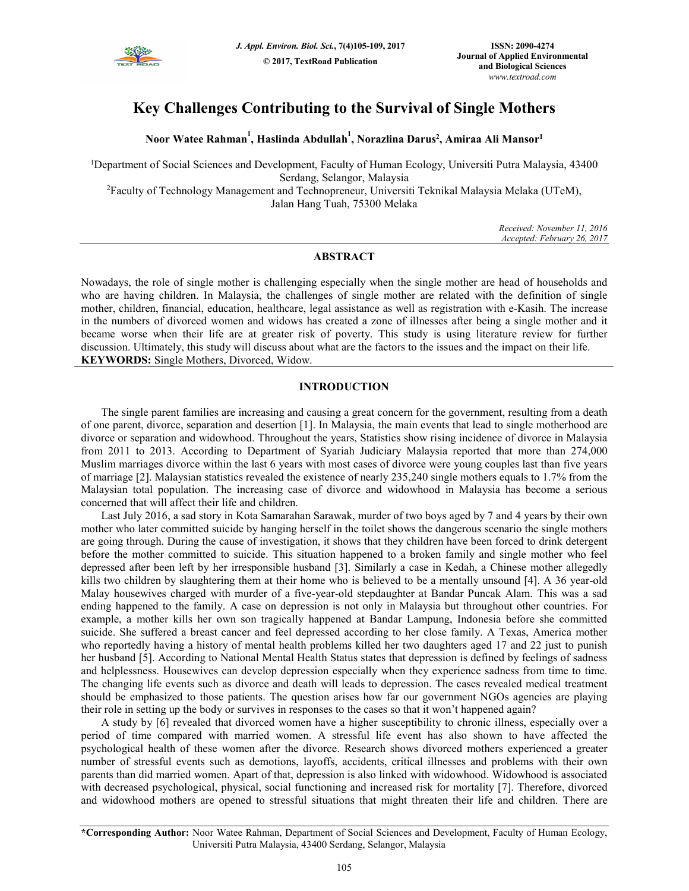

# **Key Challenges Contributing to the Survival of Single Mothers**

**Noor Watee Rahman<sup>1</sup> , Haslinda Abdullah<sup>1</sup> , Norazlina Darus<sup>2</sup> , Amiraa Ali Mansor<sup>1</sup>**

<sup>1</sup>Department of Social Sciences and Development, Faculty of Human Ecology, Universiti Putra Malaysia, 43400 Serdang, Selangor, Malaysia <sup>2</sup>Faculty of Technology Management and Technopreneur, Universiti Teknikal Malaysia Melaka (UTeM),

Jalan Hang Tuah, 75300 Melaka

*Received: November 11, 2016 Accepted: February 26, 2017* 

# **ABSTRACT**

Nowadays, the role of single mother is challenging especially when the single mother are head of households and who are having children. In Malaysia, the challenges of single mother are related with the definition of single mother, children, financial, education, healthcare, legal assistance as well as registration with e-Kasih. The increase in the numbers of divorced women and widows has created a zone of illnesses after being a single mother and it became worse when their life are at greater risk of poverty. This study is using literature review for further discussion. Ultimately, this study will discuss about what are the factors to the issues and the impact on their life. **KEYWORDS:** Single Mothers, Divorced, Widow.

# **INTRODUCTION**

The single parent families are increasing and causing a great concern for the government, resulting from a death of one parent, divorce, separation and desertion [1]. In Malaysia, the main events that lead to single motherhood are divorce or separation and widowhood. Throughout the years, Statistics show rising incidence of divorce in Malaysia from 2011 to 2013. According to Department of Syariah Judiciary Malaysia reported that more than 274,000 Muslim marriages divorce within the last 6 years with most cases of divorce were young couples last than five years of marriage [2]. Malaysian statistics revealed the existence of nearly 235,240 single mothers equals to 1.7% from the Malaysian total population. The increasing case of divorce and widowhood in Malaysia has become a serious concerned that will affect their life and children.

Last July 2016, a sad story in Kota Samarahan Sarawak, murder of two boys aged by 7 and 4 years by their own mother who later committed suicide by hanging herself in the toilet shows the dangerous scenario the single mothers are going through. During the cause of investigation, it shows that they children have been forced to drink detergent before the mother committed to suicide. This situation happened to a broken family and single mother who feel depressed after been left by her irresponsible husband [3]. Similarly a case in Kedah, a Chinese mother allegedly kills two children by slaughtering them at their home who is believed to be a mentally unsound [4]. A 36 year-old Malay housewives charged with murder of a five-year-old stepdaughter at Bandar Puncak Alam. This was a sad ending happened to the family. A case on depression is not only in Malaysia but throughout other countries. For example, a mother kills her own son tragically happened at Bandar Lampung, Indonesia before she committed suicide. She suffered a breast cancer and feel depressed according to her close family. A Texas, America mother who reportedly having a history of mental health problems killed her two daughters aged 17 and 22 just to punish her husband [5]. According to National Mental Health Status states that depression is defined by feelings of sadness and helplessness. Housewives can develop depression especially when they experience sadness from time to time. The changing life events such as divorce and death will leads to depression. The cases revealed medical treatment should be emphasized to those patients. The question arises how far our government NGOs agencies are playing their role in setting up the body or survives in responses to the cases so that it won't happened again?

A study by [6] revealed that divorced women have a higher susceptibility to chronic illness, especially over a period of time compared with married women. A stressful life event has also shown to have affected the psychological health of these women after the divorce. Research shows divorced mothers experienced a greater number of stressful events such as demotions, layoffs, accidents, critical illnesses and problems with their own parents than did married women. Apart of that, depression is also linked with widowhood. Widowhood is associated with decreased psychological, physical, social functioning and increased risk for mortality [7]. Therefore, divorced and widowhood mothers are opened to stressful situations that might threaten their life and children. There are

**<sup>\*</sup>Corresponding Author:** Noor Watee Rahman, Department of Social Sciences and Development, Faculty of Human Ecology, Universiti Putra Malaysia, 43400 Serdang, Selangor, Malaysia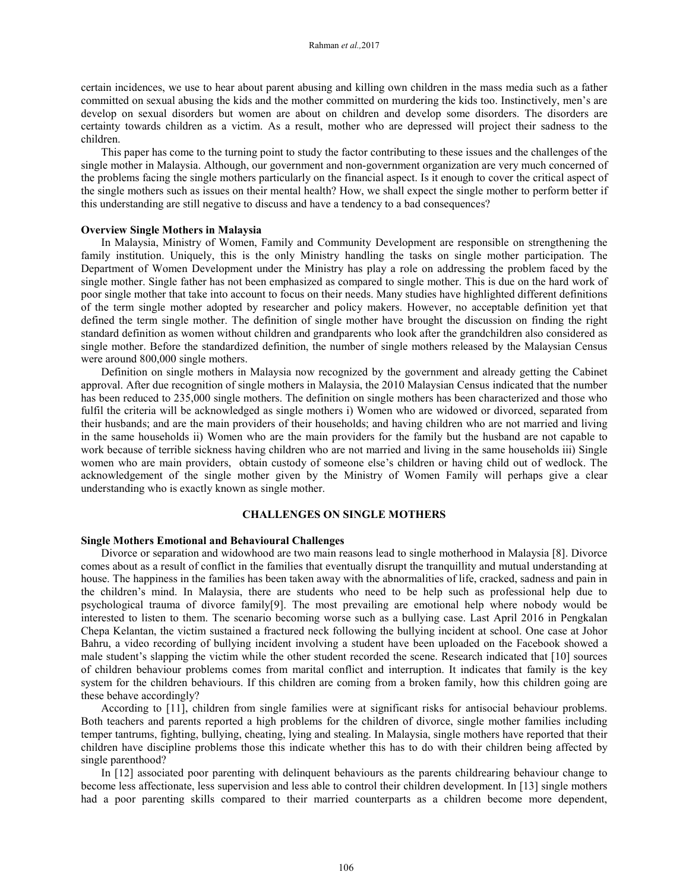certain incidences, we use to hear about parent abusing and killing own children in the mass media such as a father committed on sexual abusing the kids and the mother committed on murdering the kids too. Instinctively, men's are develop on sexual disorders but women are about on children and develop some disorders. The disorders are certainty towards children as a victim. As a result, mother who are depressed will project their sadness to the children.

This paper has come to the turning point to study the factor contributing to these issues and the challenges of the single mother in Malaysia. Although, our government and non-government organization are very much concerned of the problems facing the single mothers particularly on the financial aspect. Is it enough to cover the critical aspect of the single mothers such as issues on their mental health? How, we shall expect the single mother to perform better if this understanding are still negative to discuss and have a tendency to a bad consequences?

## **Overview Single Mothers in Malaysia**

In Malaysia, Ministry of Women, Family and Community Development are responsible on strengthening the family institution. Uniquely, this is the only Ministry handling the tasks on single mother participation. The Department of Women Development under the Ministry has play a role on addressing the problem faced by the single mother. Single father has not been emphasized as compared to single mother. This is due on the hard work of poor single mother that take into account to focus on their needs. Many studies have highlighted different definitions of the term single mother adopted by researcher and policy makers. However, no acceptable definition yet that defined the term single mother. The definition of single mother have brought the discussion on finding the right standard definition as women without children and grandparents who look after the grandchildren also considered as single mother. Before the standardized definition, the number of single mothers released by the Malaysian Census were around 800,000 single mothers.

Definition on single mothers in Malaysia now recognized by the government and already getting the Cabinet approval. After due recognition of single mothers in Malaysia, the 2010 Malaysian Census indicated that the number has been reduced to 235,000 single mothers. The definition on single mothers has been characterized and those who fulfil the criteria will be acknowledged as single mothers i) Women who are widowed or divorced, separated from their husbands; and are the main providers of their households; and having children who are not married and living in the same households ii) Women who are the main providers for the family but the husband are not capable to work because of terrible sickness having children who are not married and living in the same households iii) Single women who are main providers, obtain custody of someone else's children or having child out of wedlock. The acknowledgement of the single mother given by the Ministry of Women Family will perhaps give a clear understanding who is exactly known as single mother.

## **CHALLENGES ON SINGLE MOTHERS**

#### **Single Mothers Emotional and Behavioural Challenges**

Divorce or separation and widowhood are two main reasons lead to single motherhood in Malaysia [8]. Divorce comes about as a result of conflict in the families that eventually disrupt the tranquillity and mutual understanding at house. The happiness in the families has been taken away with the abnormalities of life, cracked, sadness and pain in the children's mind. In Malaysia, there are students who need to be help such as professional help due to psychological trauma of divorce family[9]. The most prevailing are emotional help where nobody would be interested to listen to them. The scenario becoming worse such as a bullying case. Last April 2016 in Pengkalan Chepa Kelantan, the victim sustained a fractured neck following the bullying incident at school. One case at Johor Bahru, a video recording of bullying incident involving a student have been uploaded on the Facebook showed a male student's slapping the victim while the other student recorded the scene. Research indicated that [10] sources of children behaviour problems comes from marital conflict and interruption. It indicates that family is the key system for the children behaviours. If this children are coming from a broken family, how this children going are these behave accordingly?

According to [11], children from single families were at significant risks for antisocial behaviour problems. Both teachers and parents reported a high problems for the children of divorce, single mother families including temper tantrums, fighting, bullying, cheating, lying and stealing. In Malaysia, single mothers have reported that their children have discipline problems those this indicate whether this has to do with their children being affected by single parenthood?

In [12] associated poor parenting with delinquent behaviours as the parents childrearing behaviour change to become less affectionate, less supervision and less able to control their children development. In [13] single mothers had a poor parenting skills compared to their married counterparts as a children become more dependent,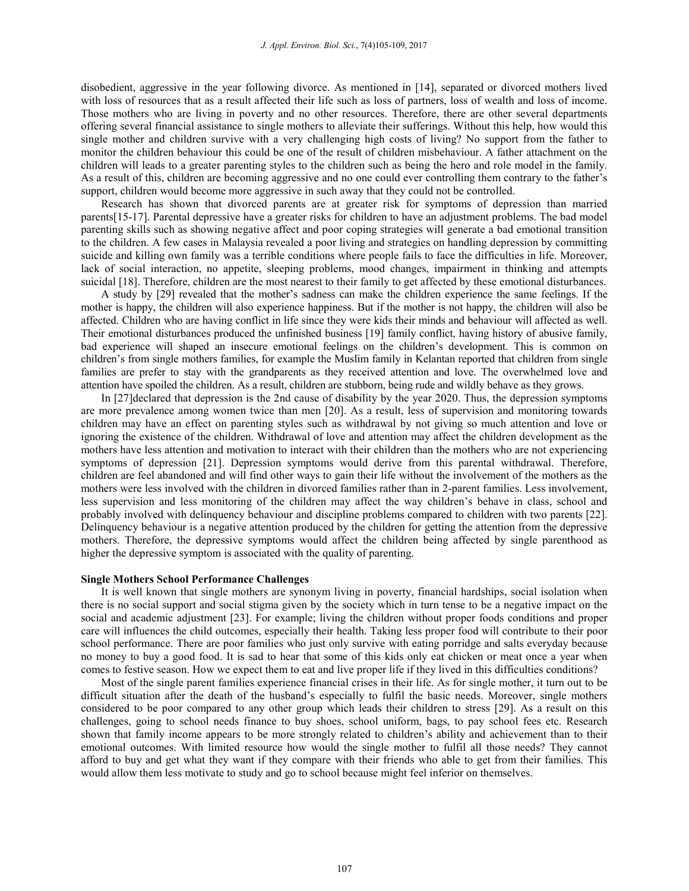disobedient, aggressive in the year following divorce. As mentioned in [14], separated or divorced mothers lived with loss of resources that as a result affected their life such as loss of partners, loss of wealth and loss of income. Those mothers who are living in poverty and no other resources. Therefore, there are other several departments offering several financial assistance to single mothers to alleviate their sufferings. Without this help, how would this single mother and children survive with a very challenging high costs of living? No support from the father to monitor the children behaviour this could be one of the result of children misbehaviour. A father attachment on the children will leads to a greater parenting styles to the children such as being the hero and role model in the family. As a result of this, children are becoming aggressive and no one could ever controlling them contrary to the father's support, children would become more aggressive in such away that they could not be controlled.

Research has shown that divorced parents are at greater risk for symptoms of depression than married parents[15-17]. Parental depressive have a greater risks for children to have an adjustment problems. The bad model parenting skills such as showing negative affect and poor coping strategies will generate a bad emotional transition to the children. A few cases in Malaysia revealed a poor living and strategies on handling depression by committing suicide and killing own family was a terrible conditions where people fails to face the difficulties in life. Moreover, lack of social interaction, no appetite, sleeping problems, mood changes, impairment in thinking and attempts suicidal [18]. Therefore, children are the most nearest to their family to get affected by these emotional disturbances.

A study by [29] revealed that the mother's sadness can make the children experience the same feelings. If the mother is happy, the children will also experience happiness. But if the mother is not happy, the children will also be affected. Children who are having conflict in life since they were kids their minds and behaviour will affected as well. Their emotional disturbances produced the unfinished business [19] family conflict, having history of abusive family, bad experience will shaped an insecure emotional feelings on the children's development. This is common on children's from single mothers families, for example the Muslim family in Kelantan reported that children from single families are prefer to stay with the grandparents as they received attention and love. The overwhelmed love and attention have spoiled the children. As a result, children are stubborn, being rude and wildly behave as they grows.

In [27]declared that depression is the 2nd cause of disability by the year 2020. Thus, the depression symptoms are more prevalence among women twice than men [20]. As a result, less of supervision and monitoring towards children may have an effect on parenting styles such as withdrawal by not giving so much attention and love or ignoring the existence of the children. Withdrawal of love and attention may affect the children development as the mothers have less attention and motivation to interact with their children than the mothers who are not experiencing symptoms of depression [21]. Depression symptoms would derive from this parental withdrawal. Therefore, children are feel abandoned and will find other ways to gain their life without the involvement of the mothers as the mothers were less involved with the children in divorced families rather than in 2-parent families. Less involvement, less supervision and less monitoring of the children may affect the way children's behave in class, school and probably involved with delinquency behaviour and discipline problems compared to children with two parents [22]. Delinquency behaviour is a negative attention produced by the children for getting the attention from the depressive mothers. Therefore, the depressive symptoms would affect the children being affected by single parenthood as higher the depressive symptom is associated with the quality of parenting.

#### **Single Mothers School Performance Challenges**

It is well known that single mothers are synonym living in poverty, financial hardships, social isolation when there is no social support and social stigma given by the society which in turn tense to be a negative impact on the social and academic adjustment [23]. For example; living the children without proper foods conditions and proper care will influences the child outcomes, especially their health. Taking less proper food will contribute to their poor school performance. There are poor families who just only survive with eating porridge and salts everyday because no money to buy a good food. It is sad to hear that some of this kids only eat chicken or meat once a year when comes to festive season. How we expect them to eat and live proper life if they lived in this difficulties conditions?

Most of the single parent families experience financial crises in their life. As for single mother, it turn out to be difficult situation after the death of the husband's especially to fulfil the basic needs. Moreover, single mothers considered to be poor compared to any other group which leads their children to stress [29]. As a result on this challenges, going to school needs finance to buy shoes, school uniform, bags, to pay school fees etc. Research shown that family income appears to be more strongly related to children's ability and achievement than to their emotional outcomes. With limited resource how would the single mother to fulfil all those needs? They cannot afford to buy and get what they want if they compare with their friends who able to get from their families. This would allow them less motivate to study and go to school because might feel inferior on themselves.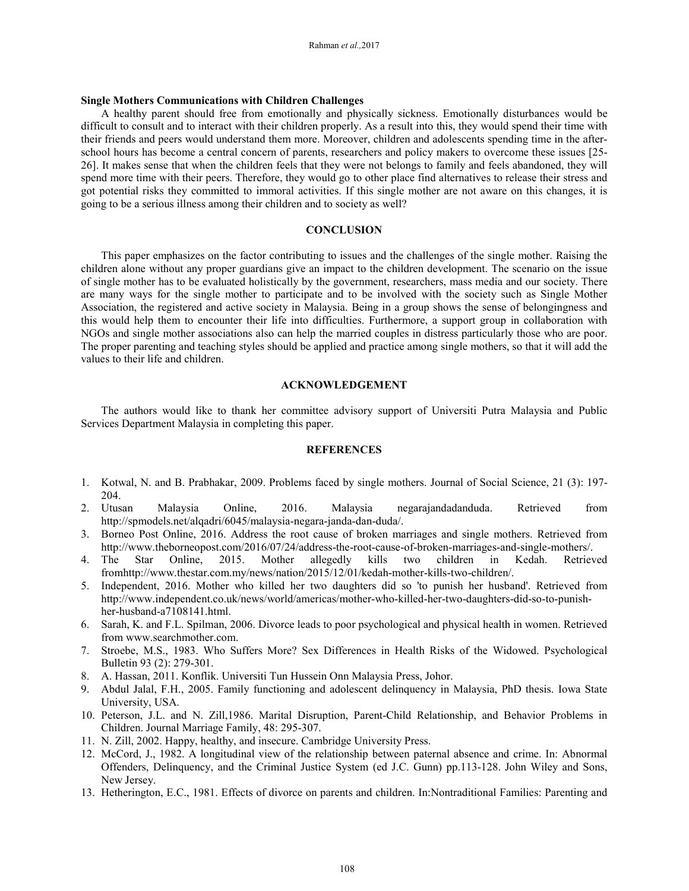## **Single Mothers Communications with Children Challenges**

A healthy parent should free from emotionally and physically sickness. Emotionally disturbances would be difficult to consult and to interact with their children properly. As a result into this, they would spend their time with their friends and peers would understand them more. Moreover, children and adolescents spending time in the afterschool hours has become a central concern of parents, researchers and policy makers to overcome these issues [25- 26]. It makes sense that when the children feels that they were not belongs to family and feels abandoned, they will spend more time with their peers. Therefore, they would go to other place find alternatives to release their stress and got potential risks they committed to immoral activities. If this single mother are not aware on this changes, it is going to be a serious illness among their children and to society as well?

## **CONCLUSION**

This paper emphasizes on the factor contributing to issues and the challenges of the single mother. Raising the children alone without any proper guardians give an impact to the children development. The scenario on the issue of single mother has to be evaluated holistically by the government, researchers, mass media and our society. There are many ways for the single mother to participate and to be involved with the society such as Single Mother Association, the registered and active society in Malaysia. Being in a group shows the sense of belongingness and this would help them to encounter their life into difficulties. Furthermore, a support group in collaboration with NGOs and single mother associations also can help the married couples in distress particularly those who are poor. The proper parenting and teaching styles should be applied and practice among single mothers, so that it will add the values to their life and children.

## **ACKNOWLEDGEMENT**

The authors would like to thank her committee advisory support of Universiti Putra Malaysia and Public Services Department Malaysia in completing this paper.

### **REFERENCES**

- 1. Kotwal, N. and B. Prabhakar, 2009. Problems faced by single mothers. Journal of Social Science, 21 (3): 197- 204.
- 2. Utusan Malaysia Online, 2016. Malaysia negarajandadanduda. Retrieved from http://spmodels.net/alqadri/6045/malaysia-negara-janda-dan-duda/.
- 3. Borneo Post Online, 2016. Address the root cause of broken marriages and single mothers. Retrieved from http://www.theborneopost.com/2016/07/24/address-the-root-cause-of-broken-marriages-and-single-mothers/.
- 4. The Star Online, 2015. Mother allegedly kills two children in Kedah. Retrieved fromhttp://www.thestar.com.my/news/nation/2015/12/01/kedah-mother-kills-two-children/.
- 5. Independent, 2016. Mother who killed her two daughters did so 'to punish her husband'. Retrieved from http://www.independent.co.uk/news/world/americas/mother-who-killed-her-two-daughters-did-so-to-punishher-husband-a7108141.html.
- 6. Sarah, K. and F.L. Spilman, 2006. Divorce leads to poor psychological and physical health in women. Retrieved from www.searchmother.com.
- 7. Stroebe, M.S., 1983. Who Suffers More? Sex Differences in Health Risks of the Widowed. Psychological Bulletin 93 (2): 279-301.
- 8. A. Hassan, 2011. Konflik. Universiti Tun Hussein Onn Malaysia Press, Johor.
- 9. Abdul Jalal, F.H., 2005. Family functioning and adolescent delinquency in Malaysia, PhD thesis. Iowa State University, USA.
- 10. Peterson, J.L. and N. Zill,1986. Marital Disruption, Parent-Child Relationship, and Behavior Problems in Children. Journal Marriage Family, 48: 295-307.
- 11. N. Zill, 2002. Happy, healthy, and insecure. Cambridge University Press.
- 12. McCord, J., 1982. A longitudinal view of the relationship between paternal absence and crime. In: Abnormal Offenders, Delinquency, and the Criminal Justice System (ed J.C. Gunn) pp.113-128. John Wiley and Sons, New Jersey.
- 13. Hetherington, E.C., 1981. Effects of divorce on parents and children. In:Nontraditional Families: Parenting and